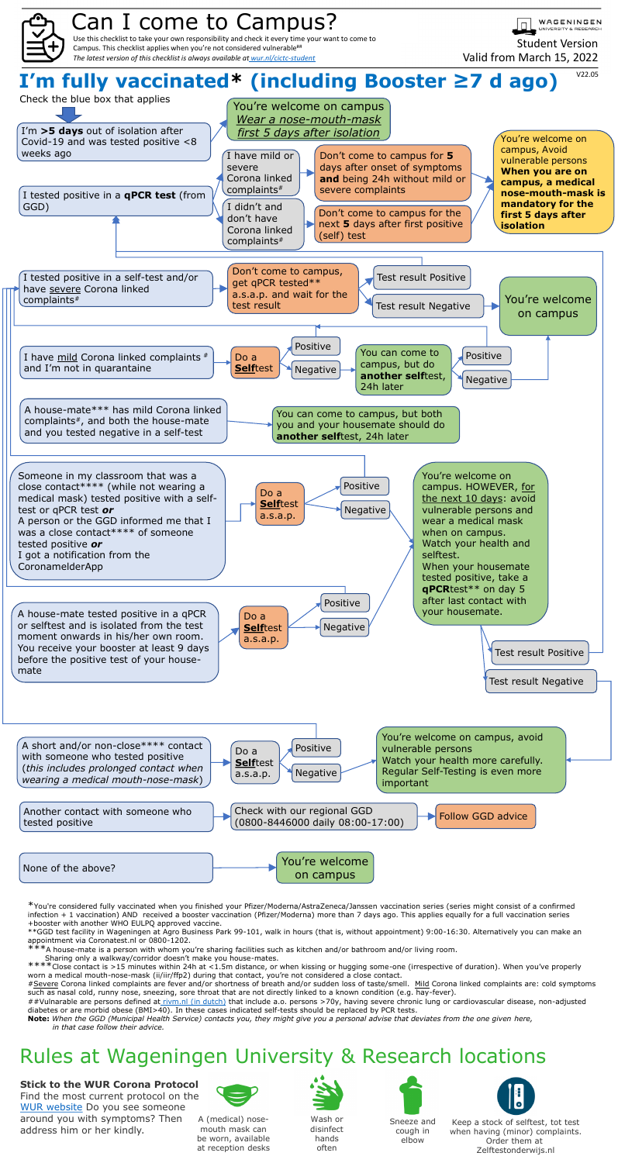\*You're considered fully vaccinated when you finished your Pfizer/Moderna/AstraZeneca/Janssen vaccination series (series might consist of a confirmed infection + 1 vaccination) AND received a booster vaccination (Pfizer/Moderna) more than 7 days ago. This applies equally for a full vaccination series +booster with another WHO EULPQ approved vaccine.

\*\*GGD test facility in Wageningen at Agro Business Park 99-101, walk in hours (that is, without appointment) 9:00-16:30. Alternatively you can make an appointment via Coronatest.nl or 0800-1202.

 $*$ A house-mate is a person with whom you're sharing facilities such as kitchen and/or bathroom and/or living room.

\*\*\*\*Close contact is >15 minutes within 24h at <1.5m distance, or when kissing or hugging some-one (irrespective of duration). When you've properly worn a medical mouth-nose-mask (ii/iir/ffp2) during that contact, you're not considered a close contact.

#Severe Corona linked complaints are fever and/or shortness of breath and/or sudden loss of taste/smell. Mild Corona linked complaints are: cold symptoms such as nasal cold, runny nose, sneezing, sore throat that are not directly linked to a known condition (e.g. hay-fever).

Sharing only a walkway/corridor doesn't make you house-mates.

##Vulnarable are persons defined at [rivm.nl \(in dutch\)](https://lci.rivm.nl/richtlijnen/covid-19#risicogroepen) that include a.o. persons >70y, having severe chronic lung or cardiovascular disease, non-adjusted diabetes or are morbid obese (BMI>40). In these cases indicated self-tests should be replaced by PCR tests.

**Note:** *When the GGD (Municipal Health Service) contacts you, they might give you a personal advise that deviates from the one given here, in that case follow their advice.* 





## Rules at Wageningen University & Research locations

## **Stick to the WUR Corona Protocol**

Find the most current protocol on the [WUR website](https://www.wur.nl/en/show/Corona-guidelines-and-updates.htm) Do you see someone around you with symptoms? Then address him or her kindly.



Wash or disinfect hands often



Sneeze and cough in elbow



Keep a stock of selftest, tot test when having (minor) complaints. Order them at Zelftestonderwijs.nl



A (medical) nosemouth mask can be worn, available at reception desks